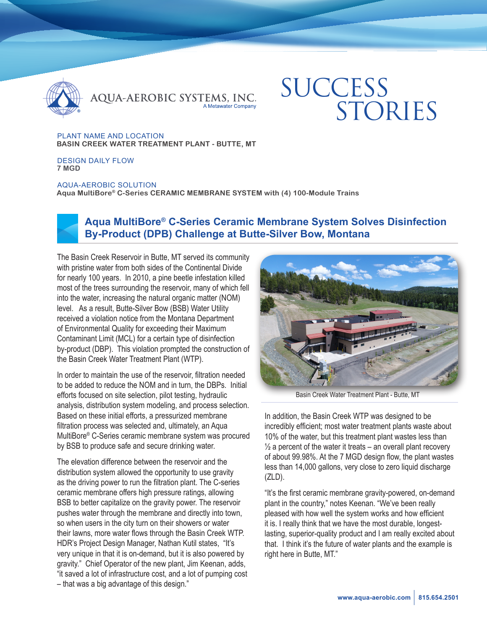

QUA-AEROBIC SYSTEMS, INC.

# **SUCCESS** STORIES

PLANT NAME AND LOCATION **BASIN CREEK WATER TREATMENT PLANT - BUTTE, MT**

DESIGN DAILY FLOW **7 MGD** 

AQUA-AEROBIC SOLUTION **Aqua MultiBore® C-Series CERAMIC MEMBRANE SYSTEM with (4) 100-Module Trains**



## **Aqua MultiBore® C-Series Ceramic Membrane System Solves Disinfection By-Product (DPB) Challenge at Butte-Silver Bow, Montana**

The Basin Creek Reservoir in Butte, MT served its community with pristine water from both sides of the Continental Divide for nearly 100 years. In 2010, a pine beetle infestation killed most of the trees surrounding the reservoir, many of which fell into the water, increasing the natural organic matter (NOM) level. As a result, Butte-Silver Bow (BSB) Water Utility received a violation notice from the Montana Department of Environmental Quality for exceeding their Maximum Contaminant Limit (MCL) for a certain type of disinfection by-product (DBP). This violation prompted the construction of the Basin Creek Water Treatment Plant (WTP).

In order to maintain the use of the reservoir, filtration needed to be added to reduce the NOM and in turn, the DBPs. Initial efforts focused on site selection, pilot testing, hydraulic analysis, distribution system modeling, and process selection. Based on these initial efforts, a pressurized membrane filtration process was selected and, ultimately, an Aqua MultiBore® C-Series ceramic membrane system was procured by BSB to produce safe and secure drinking water.

The elevation difference between the reservoir and the distribution system allowed the opportunity to use gravity as the driving power to run the filtration plant. The C-series ceramic membrane offers high pressure ratings, allowing BSB to better capitalize on the gravity power. The reservoir pushes water through the membrane and directly into town, so when users in the city turn on their showers or water their lawns, more water flows through the Basin Creek WTP. HDR's Project Design Manager, Nathan Kutil states, "It's very unique in that it is on-demand, but it is also powered by gravity." Chief Operator of the new plant, Jim Keenan, adds, "it saved a lot of infrastructure cost, and a lot of pumping cost – that was a big advantage of this design."



Basin Creek Water Treatment Plant - Butte, MT

In addition, the Basin Creek WTP was designed to be incredibly efficient; most water treatment plants waste about 10% of the water, but this treatment plant wastes less than  $\frac{1}{2}$  a percent of the water it treats – an overall plant recovery of about 99.98%. At the 7 MGD design flow, the plant wastes less than 14,000 gallons, very close to zero liquid discharge (ZLD).

"It's the first ceramic membrane gravity-powered, on-demand plant in the country," notes Keenan. "We've been really pleased with how well the system works and how efficient it is. I really think that we have the most durable, longestlasting, superior-quality product and I am really excited about that. I think it's the future of water plants and the example is right here in Butte, MT."